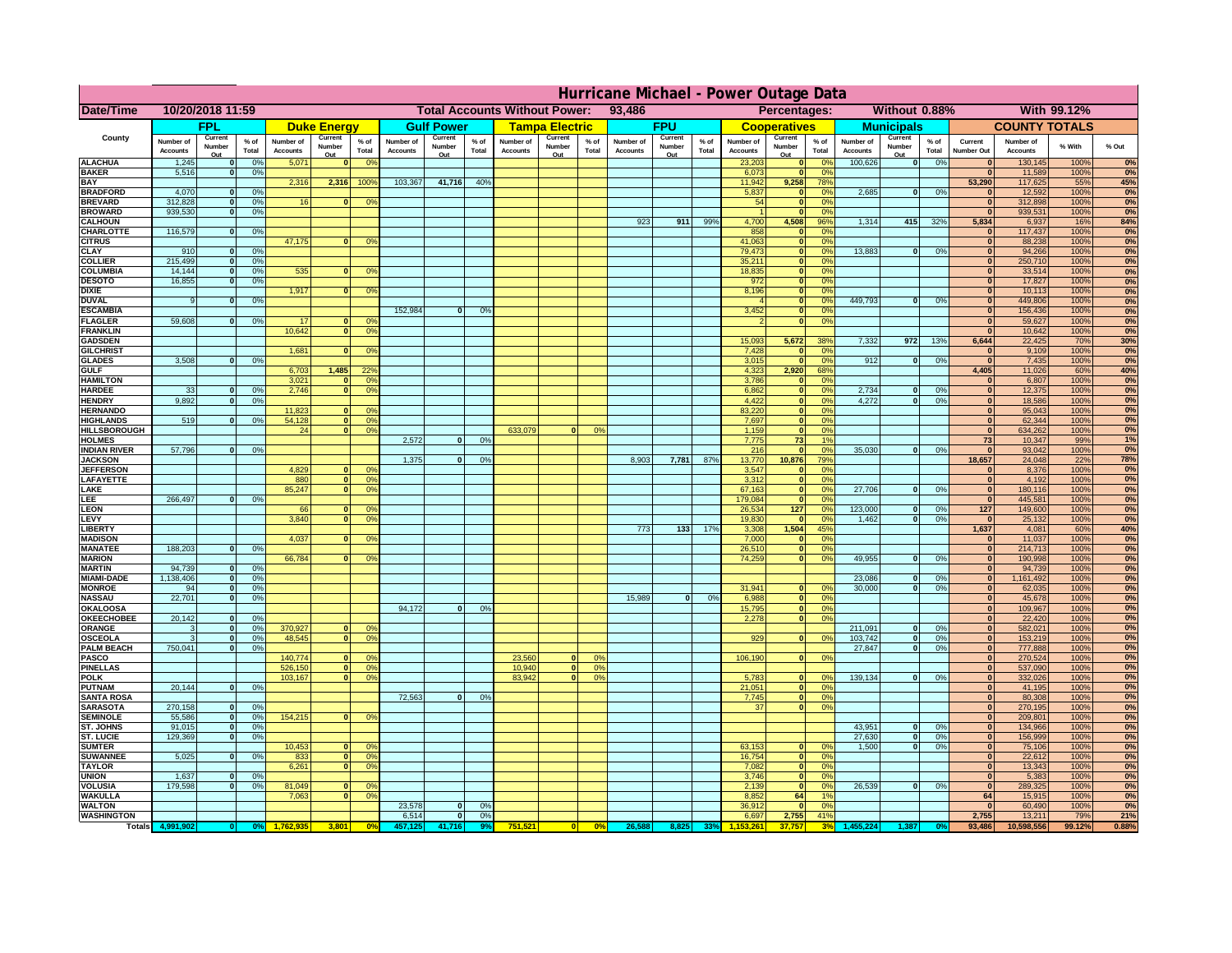|                                         | Hurricane Michael - Power Outage Data |                             |                 |                              |                     |                                                |                              |                   |                |                              |                                              |                 |                       |                   |                 |                              |                      |                                  |                              |                         |                 |                              |                              |               |              |
|-----------------------------------------|---------------------------------------|-----------------------------|-----------------|------------------------------|---------------------|------------------------------------------------|------------------------------|-------------------|----------------|------------------------------|----------------------------------------------|-----------------|-----------------------|-------------------|-----------------|------------------------------|----------------------|----------------------------------|------------------------------|-------------------------|-----------------|------------------------------|------------------------------|---------------|--------------|
| Date/Time                               | 10/20/2018 11:59                      |                             |                 |                              |                     | <b>Total Accounts Without Power:</b><br>93,486 |                              |                   |                |                              | Without 0.88%<br>With 99.12%<br>Percentages: |                 |                       |                   |                 |                              |                      |                                  |                              |                         |                 |                              |                              |               |              |
|                                         |                                       | FPL                         |                 |                              | <b>Duke Energy</b>  |                                                |                              | <b>Gulf Power</b> |                |                              | <b>Tampa Electric</b>                        |                 |                       | <b>FPU</b>        |                 |                              | <b>Cooperatives</b>  |                                  |                              | <b>Municipals</b>       |                 |                              | <b>COUNTY TOTALS</b>         |               |              |
| County                                  | Number of<br><b>Accounts</b>          | Current<br>Number           | $%$ of<br>Total | Number of<br><b>Accounts</b> | Current<br>Number   | $%$ of<br>Total                                | Number of<br><b>Accounts</b> | Current<br>Number | % of<br>Total  | Number of<br><b>Accounts</b> | Current<br>Number                            | $%$ of<br>Total | Number of<br>Accounts | Current<br>Number | $%$ of<br>Total | Number of<br><b>Accounts</b> | Current<br>Number    | $%$ of<br>Total                  | Number of<br><b>Accounts</b> | Current<br>Number       | $%$ of<br>Total | Current<br><b>Number Out</b> | Number of<br><b>Accounts</b> | % With        | % Out        |
| <b>ALACHUA</b>                          | 1,245                                 | Out<br>$\mathbf{0}$         | 0%              | 5,071                        | Out<br>$\mathbf{0}$ | 0 <sup>9</sup>                                 |                              | Out               |                |                              | Out                                          |                 |                       | Out               |                 | 23,203                       | Out<br> 0            | 0 <sup>9</sup>                   | 100,626                      | Out<br> 0               | 0%              | $\bf{0}$                     | 130,145                      | 100%          | 0%           |
| <b>BAKER</b>                            | 5,516                                 | 0                           | 0%              |                              |                     |                                                |                              |                   |                |                              |                                              |                 |                       |                   |                 | 6,073                        | 0                    | 0%                               |                              |                         |                 | $\mathbf{0}$                 | 11,589                       | 100%          | 0%           |
| <b>BAY</b><br><b>BRADFORD</b>           | 4,070                                 | $\mathbf{0}$                | 0%              | 2,316                        | 2,316               | 100%                                           | 103,367                      | 41,716            | 40%            |                              |                                              |                 |                       |                   |                 | 11,942<br>5,837              | 9,258<br> 0          | 78%<br>0%                        | 2,685                        | 0                       | 0%              | 53,290<br>$\bf{0}$           | 117,625<br>12,592            | 55%<br>100%   | 45%<br>0%    |
| <b>BREVARD</b>                          | 312,828                               | 0                           | 0%              | 16                           | $\mathbf{0}$        | 0 <sup>o</sup>                                 |                              |                   |                |                              |                                              |                 |                       |                   |                 | 54                           | 0                    | 0%                               |                              |                         |                 | $\mathbf{0}$                 | 312,898                      | 100%          | 0%           |
| <b>BROWARD</b>                          | 939.530                               | 0                           | 0%              |                              |                     |                                                |                              |                   |                |                              |                                              |                 |                       |                   |                 |                              | 0                    | 0%                               |                              |                         |                 | $\bf{0}$                     | 939,531                      | 100%          | 0%           |
| <b>CALHOUN</b>                          |                                       |                             |                 |                              |                     |                                                |                              |                   |                |                              |                                              |                 | 923                   | 911               | 99%             | 4,700                        | 4,508                | 96%                              | 1,314                        | 415                     | 32%             | 5,834                        | 6,937                        | 16%           | 84%          |
| CHARLOTTE<br><b>CITRUS</b>              | 116,579                               | 0                           | 0%              | 47,175                       | $\mathbf{0}$        | 0 <sup>o</sup>                                 |                              |                   |                |                              |                                              |                 |                       |                   |                 | 858<br>41,063                | 0 <br> 0             | 0 <sup>9</sup><br>0 <sup>9</sup> |                              |                         |                 | $\bf{0}$                     | 117,437<br>88,238            | 100%<br>100%  | 0%<br>0%     |
| <b>CLAY</b>                             | 910                                   | $\mathbf{0}$                | 0%              |                              |                     |                                                |                              |                   |                |                              |                                              |                 |                       |                   |                 | 79,473                       | 0                    | 0 <sup>9</sup>                   | 13,883                       | $\mathbf{0}$            | 0%              | $\bf{0}$                     | 94,266                       | 100%          | 0%           |
| <b>COLLIER</b>                          | 215,499                               | $\mathbf{0}$                | 0 <sup>9</sup>  |                              |                     |                                                |                              |                   |                |                              |                                              |                 |                       |                   |                 | 35,211                       | 0                    | 0%                               |                              |                         |                 | $\bf{0}$                     | 250,710                      | 100%          | 0%           |
| <b>COLUMBIA</b>                         | 14,144                                | $\mathbf 0$<br>$\mathbf{0}$ | 0%              | 535                          | $\mathbf{0}$        | 0 <sup>9</sup>                                 |                              |                   |                |                              |                                              |                 |                       |                   |                 | 18,835<br>972                | 0                    | 0%<br>0%                         |                              |                         |                 | $\bf{0}$<br>$\bf{0}$         | 33,514                       | 100%          | 0%           |
| <b>DESOTO</b><br><b>DIXIE</b>           | 16,855                                |                             | 0%              | 1,917                        | $\Omega$            | 0 <sup>9</sup>                                 |                              |                   |                |                              |                                              |                 |                       |                   |                 | 8,196                        | 0 <br> 0             | 0%                               |                              |                         |                 | $\Omega$                     | 17,827<br>10,113             | 100%<br>100%  | 0%<br>0%     |
| <b>DUVAL</b>                            | 9                                     | $\Omega$                    | 0%              |                              |                     |                                                |                              |                   |                |                              |                                              |                 |                       |                   |                 |                              | 0                    | 0%                               | 449.793                      | $\overline{0}$          | 0%              | $\Omega$                     | 449,806                      | 100%          | 0%           |
| <b>ESCAMBIA</b>                         |                                       |                             |                 |                              |                     |                                                | 152,984                      | $\mathbf{0}$      | 0 <sup>9</sup> |                              |                                              |                 |                       |                   |                 | 3,452                        | 0                    | 0%                               |                              |                         |                 | $\Omega$                     | 156,436                      | 100%          | 0%           |
| <b>FLAGLER</b>                          | 59,608                                | $\overline{0}$              | 0%              | 17<br>10,642                 | $\bf{0}$<br> 0      | 0 <sup>o</sup><br>0 <sup>9</sup>               |                              |                   |                |                              |                                              |                 |                       |                   |                 |                              | 0                    | 0%                               |                              |                         |                 | $\mathbf{0}$<br>$\Omega$     | 59,627<br>10,642             | 100%<br>100%  | 0%           |
| <b>FRANKLIN</b><br><b>GADSDEN</b>       |                                       |                             |                 |                              |                     |                                                |                              |                   |                |                              |                                              |                 |                       |                   |                 | 15,093                       | 5,672                | 38%                              | 7,332                        | 972                     | 13%             | 6,644                        | 22,425                       | 70%           | 0%<br>30%    |
| <b>GILCHRIST</b>                        |                                       |                             |                 | 1,681                        | $\mathbf{0}$        | 0 <sup>9</sup>                                 |                              |                   |                |                              |                                              |                 |                       |                   |                 | 7,428                        | 0                    | 0%                               |                              |                         |                 | $\mathbf{0}$                 | 9,109                        | 100%          | 0%           |
| <b>GLADES</b>                           | 3,508                                 | 0                           | 0%              |                              |                     |                                                |                              |                   |                |                              |                                              |                 |                       |                   |                 | 3,015                        | 0                    | 0%                               | 912                          | $\overline{0}$          | 0%              | 0                            | 7,435                        | 100%          | 0%           |
| <b>GULF</b><br><b>HAMILTON</b>          |                                       |                             |                 | 6,703<br>3,021               | 1,485<br>$\Omega$   | 22 <sup>o</sup><br>0 <sup>9</sup>              |                              |                   |                |                              |                                              |                 |                       |                   |                 | 4,323<br>3,786               | 2,920                | 68%<br>0%                        |                              |                         |                 | 4,405<br>$\Omega$            | 11,026<br>6,807              | 60%<br>100%   | 40%          |
| <b>HARDEE</b>                           | 33                                    | $\mathbf{0}$                | 0%              | 2.746                        | $\overline{0}$      | 0 <sup>9</sup>                                 |                              |                   |                |                              |                                              |                 |                       |                   |                 | 6.862                        | 0 <br>$\overline{0}$ | 0%                               | 2.734                        | $\mathbf{0}$            | 0%              | 0                            | 12,375                       | 100%          | 0%<br>0%     |
| <b>HENDRY</b>                           | 9,892                                 | $\Omega$                    | 0%              |                              |                     |                                                |                              |                   |                |                              |                                              |                 |                       |                   |                 | 4,422                        | 0                    | 0%                               | 4,272                        | $\Omega$                | 0%              | 0                            | 18,586                       | 100%          | 0%           |
| <b>HERNANDO</b>                         |                                       |                             |                 | 11,823                       | $\mathbf{0}$        | 0 <sup>9</sup>                                 |                              |                   |                |                              |                                              |                 |                       |                   |                 | 83,220                       | 0                    | 0%                               |                              |                         |                 | 0                            | 95,043                       | 100%          | 0%           |
| <b>HIGHLANDS</b><br><b>HILLSBOROUGH</b> | 519                                   | $\mathbf{0}$                | 0 <sup>9</sup>  | 54,128<br>24                 | 0 <br> 0            | 0 <sup>9</sup><br>0 <sup>9</sup>               |                              |                   |                | 633,079                      |                                              | 0%              |                       |                   |                 | 7,697<br>1,159               | 0 <br> 0             | 0%<br>0%                         |                              |                         |                 | $\mathbf{0}$<br> 0           | 62,344<br>634,262            | 100%<br>100%  | 0%<br>0%     |
| <b>HOLMES</b>                           |                                       |                             |                 |                              |                     |                                                | 2.572                        | $\mathbf{0}$      | 0%             |                              |                                              |                 |                       |                   |                 | 7.775                        | 73                   | 1%                               |                              |                         |                 | 73                           | 10,347                       | 99%           | 1%           |
| <b>INDIAN RIVER</b>                     | 57,796                                | $\mathbf{0}$                | 0%              |                              |                     |                                                |                              |                   |                |                              |                                              |                 |                       |                   |                 | 216                          | 0                    | 0%                               | 35,030                       | $\mathbf{0}$            | 0%              | $\mathbf{0}$                 | 93,042                       | 100%          | 0%           |
| <b>JACKSON</b>                          |                                       |                             |                 |                              |                     |                                                | 1.375                        | $\mathbf{0}$      | 0 <sup>9</sup> |                              |                                              |                 | 8.903                 | 7,781             | 87%             | 13,770                       | 10.876               | 79%                              |                              |                         |                 | 18.657                       | 24,048                       | 22%           | 78%          |
| <b>JEFFERSON</b>                        |                                       |                             |                 | 4.829<br>880                 | n l<br> 0           | 0 <sup>9</sup><br>0 <sup>9</sup>               |                              |                   |                |                              |                                              |                 |                       |                   |                 | 3.547<br>3.312               | 0                    | 0%<br>0%                         |                              |                         |                 | 0 <br> 0                     | 8.376<br>4.192               | 100%<br>100%  | 0%<br>0%     |
| LAFAYETTE<br>LAKE                       |                                       |                             |                 | 85,247                       | $\mathbf{0}$        | 0 <sup>9</sup>                                 |                              |                   |                |                              |                                              |                 |                       |                   |                 | 67,163                       | 0 <br> 0             | 0%                               | 27,706                       | $\Omega$                | 0%              | 0                            | 180,116                      | 100%          | 0%           |
| EE.                                     | 266,497                               | 0                           | 0%              |                              |                     |                                                |                              |                   |                |                              |                                              |                 |                       |                   |                 | 179,084                      | 0                    | 0%                               |                              |                         |                 | 0                            | 445,581                      | 100%          | 0%           |
| <b>LEON</b>                             |                                       |                             |                 | 66                           | $\mathbf{0}$        | 0 <sup>o</sup>                                 |                              |                   |                |                              |                                              |                 |                       |                   |                 | 26,534                       | 127                  | 0%                               | 123,000                      | $\mathbf{0}$            | 0%              | 127                          | 149,600                      | 100%          | 0%           |
| LEVY<br>LIBERTY                         |                                       |                             |                 | 3,840                        | $\Omega$            | 0 <sup>9</sup>                                 |                              |                   |                |                              |                                              |                 | 773                   | $133$             | 17%             | 19,830<br>3,308              | 0 <br>1,504          | 0%<br>45%                        | 1,462                        | -ol                     | 0%              | 0 <br>1,637                  | 25,132<br>4,081              | 100%<br>60%   | 0%<br>40%    |
| <b>MADISON</b>                          |                                       |                             |                 | 4,037                        | $\Omega$            | 0 <sup>9</sup>                                 |                              |                   |                |                              |                                              |                 |                       |                   |                 | 7,000                        | 0                    | 0%                               |                              |                         |                 | 0                            | 11,037                       | 100%          | 0%           |
| <b>MANATEE</b>                          | 188,203                               | 0                           | 0%              |                              |                     |                                                |                              |                   |                |                              |                                              |                 |                       |                   |                 | 26,510                       | 0                    | 0%                               |                              |                         |                 | 0                            | 214,713                      | 100%          | 0%           |
| <b>MARION</b>                           |                                       |                             |                 | 66,784                       | 0                   | 0 <sup>9</sup>                                 |                              |                   |                |                              |                                              |                 |                       |                   |                 | 74,259                       | 0                    | 0%                               | 49,955                       | nl                      | 0%              | 0                            | 190,998                      | 100%          | 0%           |
| <b>MARTIN</b><br><b>MIAMI-DADE</b>      | 94,739<br>1,138,406                   | 0 <br> 0                    | 0%<br>0%        |                              |                     |                                                |                              |                   |                |                              |                                              |                 |                       |                   |                 |                              |                      |                                  | 23,086                       | $\mathbf{0}$            | 0%              | 0 <br> 0                     | 94,739<br>1,161,492          | 100%<br>100%  | 0%<br>0%     |
| <b>MONROE</b>                           | 94                                    | 0                           | 0%              |                              |                     |                                                |                              |                   |                |                              |                                              |                 |                       |                   |                 | 31,941                       | $\overline{0}$       | 0 <sup>9</sup>                   | 30,000                       | 0                       | 0%              | 0                            | 62,035                       | 100%          | 0%           |
| <b>NASSAU</b>                           | 22,701                                | 0                           | 0%              |                              |                     |                                                |                              |                   |                |                              |                                              |                 | 15,989                | 0                 | 0%              | 6,988                        | 0                    | 0%                               |                              |                         |                 | 0                            | 45,678                       | 100%          | 0%           |
| <b>OKALOOSA</b>                         |                                       |                             |                 |                              |                     |                                                | 94,172                       | $\mathbf{0}$      | 0%             |                              |                                              |                 |                       |                   |                 | 15,795                       | 0                    | 0%                               |                              |                         |                 | 0                            | 109,967                      | 100%          | 0%           |
| <b>OKEECHOBEE</b><br>ORANGE             | 20,142<br>3                           | 0 <br> 0                    | 0%<br>0%        | 370,927                      |                     | 0 <br>0 <sup>o</sup>                           |                              |                   |                |                              |                                              |                 |                       |                   |                 | 2,278                        |                      | 0%<br> 0                         | 211,091                      | $\mathbf{0}$            | 0%              | 0 <br> 0                     | 22,420<br>582,021            | 100%<br>100%  | 0%<br>0%     |
| <b>OSCEOLA</b>                          | 3                                     | 0                           | 0%              | 48,545                       |                     | 0 <sup>9</sup><br> 0                           |                              |                   |                |                              |                                              |                 |                       |                   |                 | 929                          |                      | 0 <br>0%                         | 103,742                      | 0                       | 0%              | 0                            | 153,219                      | 100%          | 0%           |
| <b>PALM BEACH</b>                       | 750,041                               | 0                           | 0%              |                              |                     |                                                |                              |                   |                |                              |                                              |                 |                       |                   |                 |                              |                      |                                  | 27,847                       | $\overline{\mathbf{0}}$ | 0%              | 0                            | 777,888                      | 100%          | 0%           |
| <b>PASCO</b>                            |                                       |                             |                 | 140,774                      | $\Omega$            | $^{\circ}$                                     |                              |                   |                | 23,560                       | $\Omega$                                     | $^{\circ}$      |                       |                   |                 | 106,190                      |                      | 0 <br>0%                         |                              |                         |                 | 0                            | 270,524                      | 100%          | 0%           |
| <b>PINELLAS</b><br><b>POLK</b>          |                                       |                             |                 | 526,150<br>103,167           | 0                   | 0 <sup>9</sup><br>0 <sup>9</sup><br> 0         |                              |                   |                | 10,940<br>83,942             | 0 <br>$\mathbf{a}$                           | 0%<br>0%        |                       |                   |                 | 5,783                        | 0                    | $\Omega$                         | 139,134                      | 0                       | 0%              | $\Omega$<br> 0               | 537,090<br>332,026           | 100%<br>100%  | 0%<br>0%     |
| <b>PUTNAM</b>                           | 20,144                                | 0                           | 0%              |                              |                     |                                                |                              |                   |                |                              |                                              |                 |                       |                   |                 | 21,051                       | $\ddot{\textbf{0}}$  | 0%                               |                              |                         |                 | $\bf{0}$                     | 41,195                       | 100%          | 0%           |
| <b>SANTA ROSA</b>                       |                                       |                             |                 |                              |                     |                                                | 72,563                       | 0                 | 0%             |                              |                                              |                 |                       |                   |                 | 7,745                        | 0                    | 0%                               |                              |                         |                 | $\mathbf{0}$                 | 80,308                       | 100%          | 0%           |
| <b>SARASOTA</b>                         | 270,158                               | 0                           | 0%              |                              |                     |                                                |                              |                   |                |                              |                                              |                 |                       |                   |                 | 37                           |                      | 0 <br>0%                         |                              |                         |                 | $\mathbf{0}$                 | 270,195                      | 100%          | 0%           |
| <b>SEMINOLE</b><br><b>ST. JOHNS</b>     | 55,586<br>91,015                      | 0 <br> 0                    | 0%<br>0%        | 154,215                      |                     | $\mathbf{0}$<br>0 <sup>9</sup>                 |                              |                   |                |                              |                                              |                 |                       |                   |                 |                              |                      |                                  | 43,951                       | -ol                     | 0%              | $\mathbf{0}$<br> 0           | 209,801<br>134,966           | 100%<br>100%  | 0%<br>0%     |
| <b>ST. LUCIE</b>                        | 129.369                               | $\mathbf{0}$                | 0%              |                              |                     |                                                |                              |                   |                |                              |                                              |                 |                       |                   |                 |                              |                      |                                  | 27.630                       | - O I                   | 0%              | 0                            | 156,999                      | 100%          | 0%           |
| <b>SUMTER</b>                           |                                       |                             |                 | 10,453                       | 0                   | 0 <sup>9</sup>                                 |                              |                   |                |                              |                                              |                 |                       |                   |                 | 63,153                       | 0                    | 0%                               | 1.500                        | 0                       | 0%              | 0                            | 75,106                       | 100%          | 0%           |
| <b>SUWANNEE</b>                         | 5,025                                 | 0                           | 0%              | 833                          | 0                   | 0 <sup>o</sup>                                 |                              |                   |                |                              |                                              |                 |                       |                   |                 | 16,754                       | 0                    | 0%                               |                              |                         |                 | $\mathbf{0}$                 | 22,612                       | 100%          | 0%           |
| <b>TAYLOR</b><br><b>UNION</b>           | 1,637                                 | $\mathbf{0}$                | 0%              | 6,261                        | 0                   | 0 <sup>9</sup>                                 |                              |                   |                |                              |                                              |                 |                       |                   |                 | 7,082<br>3,746               | 0 <br> 0             | 0%<br>0%                         |                              |                         |                 | 0 <br> 0                     | 13,343<br>5,383              | 100%<br>100%  | 0%<br>0%     |
| <b>VOLUSIA</b>                          | 179,598                               | 0                           | 0%              | 81,049                       | $\mathbf{0}$        | $\mathbf{0}$                                   |                              |                   |                |                              |                                              |                 |                       |                   |                 | 2,139                        | 0                    | 0%                               | 26,539                       | 0                       | 0%              | $\mathbf{0}$                 | 289,325                      | 100%          | 0%           |
| <b>WAKULLA</b>                          |                                       |                             |                 | 7,063                        | $\mathbf{0}$        | 0 <sup>9</sup>                                 |                              |                   |                |                              |                                              |                 |                       |                   |                 | 8,852                        | 64                   | 1%                               |                              |                         |                 | 64                           | 15,915                       | 100%          | 0%           |
| <b>WALTON</b>                           |                                       |                             |                 |                              |                     |                                                | 23,578<br>6,514              | $\mathbf{0}$      | 0%             |                              |                                              |                 |                       |                   |                 | 36,912                       | 0                    | 0%                               |                              |                         |                 | $\mathbf{0}$                 | 60,490                       | 100%          | 0%           |
| <b>WASHINGTON</b><br><b>Totals</b>      |                                       |                             |                 |                              | 3,801               | 0 <sup>6</sup>                                 | 457.125                      | 0 <br>41,716      | 0%             | 751,521                      | 0                                            | 0%              | 26,588                | 8,825             | 33%             | 6,697                        | 2,755<br>37.757      | 41%<br>3 <sup>0</sup>            |                              |                         |                 | 2,755<br>93,486              | 13,211<br>10,598,556         | 79%<br>99.12% | 21%<br>0.88% |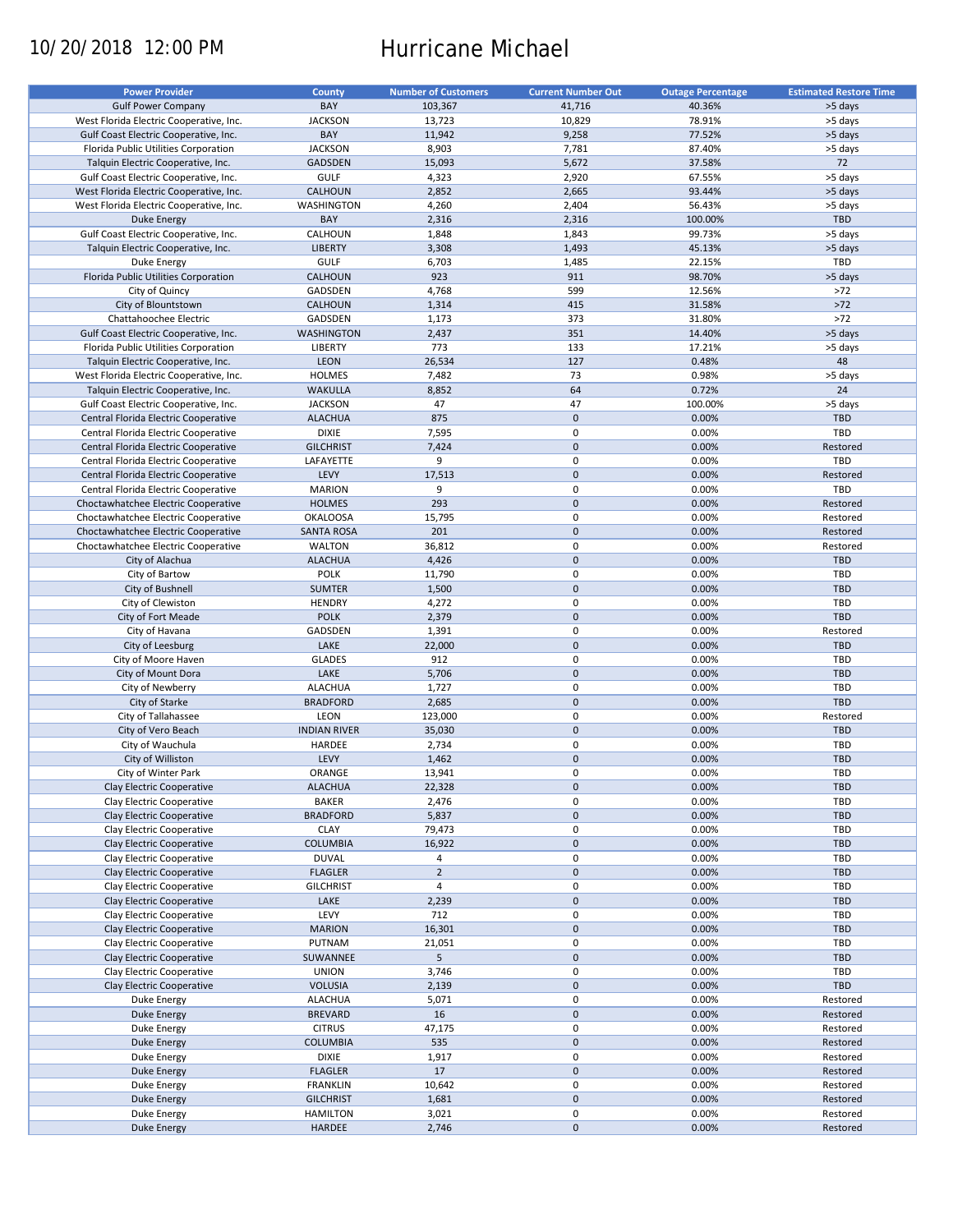# 10/20/2018 12:00 PM Hurricane Michael

| <b>Power Provider</b>                   | County              | <b>Number of Customers</b> | <b>Current Number Out</b> | <b>Outage Percentage</b> | <b>Estimated Restore Time</b> |
|-----------------------------------------|---------------------|----------------------------|---------------------------|--------------------------|-------------------------------|
| <b>Gulf Power Company</b>               | BAY                 | 103,367                    | 41,716                    | 40.36%                   | >5 days                       |
| West Florida Electric Cooperative, Inc. | <b>JACKSON</b>      | 13,723                     | 10,829                    | 78.91%                   | >5 days                       |
| Gulf Coast Electric Cooperative, Inc.   | BAY                 | 11,942                     | 9,258                     | 77.52%                   | >5 days                       |
| Florida Public Utilities Corporation    | <b>JACKSON</b>      | 8,903                      | 7,781                     | 87.40%                   | >5 days                       |
| Talquin Electric Cooperative, Inc.      | <b>GADSDEN</b>      | 15,093                     | 5,672                     | 37.58%                   | 72                            |
| Gulf Coast Electric Cooperative, Inc.   | <b>GULF</b>         | 4,323                      | 2,920                     | 67.55%                   | >5 days                       |
| West Florida Electric Cooperative, Inc. | CALHOUN             | 2,852                      | 2,665                     | 93.44%                   | >5 days                       |
| West Florida Electric Cooperative, Inc. | WASHINGTON          | 4,260                      | 2,404                     | 56.43%                   | >5 days                       |
| <b>Duke Energy</b>                      | BAY                 | 2,316                      | 2,316                     | 100.00%                  | <b>TBD</b>                    |
| Gulf Coast Electric Cooperative, Inc.   | CALHOUN             | 1,848                      | 1,843                     | 99.73%                   | >5 days                       |
| Talquin Electric Cooperative, Inc.      | <b>LIBERTY</b>      | 3,308                      | 1,493                     | 45.13%                   | >5 days                       |
| Duke Energy                             | <b>GULF</b>         | 6,703                      | 1,485                     | 22.15%                   | TBD                           |
| Florida Public Utilities Corporation    | CALHOUN             | 923                        | 911                       | 98.70%                   | >5 days                       |
| City of Quincy                          | GADSDEN             | 4,768                      | 599                       | 12.56%                   | $>72$                         |
| City of Blountstown                     | CALHOUN             | 1,314                      | 415                       | 31.58%                   | $>72$                         |
| Chattahoochee Electric                  | GADSDEN             | 1,173                      | 373                       | 31.80%                   | $>72$                         |
| Gulf Coast Electric Cooperative, Inc.   | <b>WASHINGTON</b>   | 2,437                      | 351                       | 14.40%                   | >5 days                       |
| Florida Public Utilities Corporation    | LIBERTY             | 773                        | 133                       | 17.21%                   | >5 days                       |
| Talquin Electric Cooperative, Inc.      | <b>LEON</b>         | 26,534                     | 127                       | 0.48%                    | 48                            |
| West Florida Electric Cooperative, Inc. | <b>HOLMES</b>       | 7,482                      | 73                        | 0.98%                    | >5 days                       |
| Talquin Electric Cooperative, Inc.      | <b>WAKULLA</b>      | 8,852                      | 64                        | 0.72%                    | 24                            |
| Gulf Coast Electric Cooperative, Inc.   | <b>JACKSON</b>      | 47                         | 47                        | 100.00%                  | >5 days                       |
| Central Florida Electric Cooperative    | <b>ALACHUA</b>      | 875                        | $\mathbf 0$               | 0.00%                    | <b>TBD</b>                    |
| Central Florida Electric Cooperative    | <b>DIXIE</b>        | 7,595                      | 0                         | 0.00%                    | <b>TBD</b>                    |
| Central Florida Electric Cooperative    | <b>GILCHRIST</b>    | 7,424                      | $\pmb{0}$                 | 0.00%                    | Restored                      |
| Central Florida Electric Cooperative    | LAFAYETTE           | 9                          | 0                         | 0.00%                    | TBD                           |
| Central Florida Electric Cooperative    | LEVY                | 17,513                     | $\mathbf 0$               | 0.00%                    | Restored                      |
| Central Florida Electric Cooperative    | <b>MARION</b>       | 9                          | 0                         | 0.00%                    | TBD                           |
| Choctawhatchee Electric Cooperative     | <b>HOLMES</b>       | 293                        | $\mathbf 0$               | 0.00%                    | Restored                      |
| Choctawhatchee Electric Cooperative     | <b>OKALOOSA</b>     | 15,795                     | 0                         | 0.00%                    | Restored                      |
| Choctawhatchee Electric Cooperative     | <b>SANTA ROSA</b>   | 201                        | $\mathbf 0$               | 0.00%                    | Restored                      |
| Choctawhatchee Electric Cooperative     | <b>WALTON</b>       | 36,812                     | 0                         | 0.00%                    | Restored                      |
| City of Alachua                         | <b>ALACHUA</b>      | 4,426                      | $\mathbf 0$               | 0.00%                    | <b>TBD</b>                    |
| City of Bartow                          | <b>POLK</b>         | 11,790                     | 0                         | 0.00%                    | TBD                           |
| City of Bushnell                        | <b>SUMTER</b>       | 1,500                      | $\mathbf 0$               | 0.00%                    | <b>TBD</b>                    |
| City of Clewiston                       | <b>HENDRY</b>       | 4,272                      | 0                         | 0.00%                    | TBD                           |
| City of Fort Meade                      | <b>POLK</b>         | 2,379                      | $\mathbf 0$               | 0.00%                    | <b>TBD</b>                    |
| City of Havana                          | GADSDEN             | 1,391                      | 0                         | 0.00%                    | Restored                      |
| City of Leesburg                        | LAKE                | 22,000                     | $\mathbf 0$               | 0.00%                    | <b>TBD</b>                    |
| City of Moore Haven                     | <b>GLADES</b>       | 912                        | 0                         | 0.00%                    | <b>TBD</b>                    |
| City of Mount Dora                      | LAKE                | 5,706                      | $\mathbf 0$               | 0.00%                    | <b>TBD</b>                    |
| City of Newberry                        | <b>ALACHUA</b>      | 1,727                      | 0                         | 0.00%                    | TBD                           |
| City of Starke                          | <b>BRADFORD</b>     | 2,685                      | $\mathbf 0$               | 0.00%                    | <b>TBD</b>                    |
| City of Tallahassee                     | LEON                | 123,000                    | 0                         | 0.00%                    | Restored                      |
| City of Vero Beach                      | <b>INDIAN RIVER</b> | 35,030                     | $\pmb{0}$                 | 0.00%                    | <b>TBD</b>                    |
| City of Wauchula                        | HARDEE              | 2,734                      | 0                         | 0.00%                    | TBD                           |
| City of Williston                       | <b>LEVY</b>         | 1,462                      | $\pmb{0}$                 | 0.00%                    | <b>TBD</b>                    |
| City of Winter Park                     | ORANGE              | 13,941                     | 0                         | 0.00%                    | TBD                           |
| Clay Electric Cooperative               | <b>ALACHUA</b>      | 22,328                     | $\pmb{0}$                 | 0.00%                    | <b>TBD</b>                    |
| Clay Electric Cooperative               | <b>BAKER</b>        | 2,476                      | 0                         | 0.00%                    | TBD                           |
| Clay Electric Cooperative               | <b>BRADFORD</b>     | 5,837                      | $\pmb{0}$                 | 0.00%                    | TBD                           |
| Clay Electric Cooperative               | <b>CLAY</b>         | 79,473                     | 0                         | 0.00%                    | TBD                           |
| Clay Electric Cooperative               | <b>COLUMBIA</b>     | 16,922                     | 0                         | 0.00%                    | <b>TBD</b>                    |
| Clay Electric Cooperative               | <b>DUVAL</b>        | 4                          | 0                         | 0.00%                    | TBD                           |
| Clay Electric Cooperative               | <b>FLAGLER</b>      | $\overline{2}$             | $\pmb{0}$                 | 0.00%                    | TBD                           |
| Clay Electric Cooperative               | <b>GILCHRIST</b>    | $\overline{4}$             | 0                         | 0.00%                    | TBD                           |
| Clay Electric Cooperative               | LAKE                | 2,239                      | $\pmb{0}$                 | 0.00%                    | <b>TBD</b>                    |
| Clay Electric Cooperative               | LEVY                | 712                        | 0                         | 0.00%                    | TBD                           |
| Clay Electric Cooperative               | <b>MARION</b>       | 16,301                     | $\pmb{0}$                 | 0.00%                    | <b>TBD</b>                    |
| Clay Electric Cooperative               | PUTNAM              | 21,051                     | 0                         | 0.00%                    | TBD                           |
| Clay Electric Cooperative               | SUWANNEE            | 5                          | $\pmb{0}$                 | 0.00%                    | <b>TBD</b>                    |
| Clay Electric Cooperative               | <b>UNION</b>        | 3,746                      | 0                         | 0.00%                    | <b>TBD</b>                    |
| Clay Electric Cooperative               | <b>VOLUSIA</b>      | 2,139                      | $\pmb{0}$                 | 0.00%                    | TBD                           |
| Duke Energy                             | <b>ALACHUA</b>      | 5,071                      | 0                         | 0.00%                    | Restored                      |
| Duke Energy                             | <b>BREVARD</b>      | 16                         | $\pmb{0}$                 | 0.00%                    | Restored                      |
| Duke Energy                             | <b>CITRUS</b>       | 47,175                     | 0                         | 0.00%                    | Restored                      |
| <b>Duke Energy</b>                      | <b>COLUMBIA</b>     | 535                        | $\pmb{0}$                 | 0.00%                    | Restored                      |
| Duke Energy                             | <b>DIXIE</b>        | 1,917                      | 0                         | 0.00%                    | Restored                      |
| <b>Duke Energy</b>                      | <b>FLAGLER</b>      | 17                         | 0                         | 0.00%                    | Restored                      |
| Duke Energy                             | <b>FRANKLIN</b>     | 10,642                     | 0                         | 0.00%                    | Restored                      |
| <b>Duke Energy</b>                      | <b>GILCHRIST</b>    | 1,681                      | $\pmb{0}$                 | 0.00%                    | Restored                      |
| Duke Energy                             | <b>HAMILTON</b>     | 3,021                      | 0                         | 0.00%                    | Restored                      |
| <b>Duke Energy</b>                      | HARDEE              | 2,746                      | $\pmb{0}$                 | 0.00%                    | Restored                      |
|                                         |                     |                            |                           |                          |                               |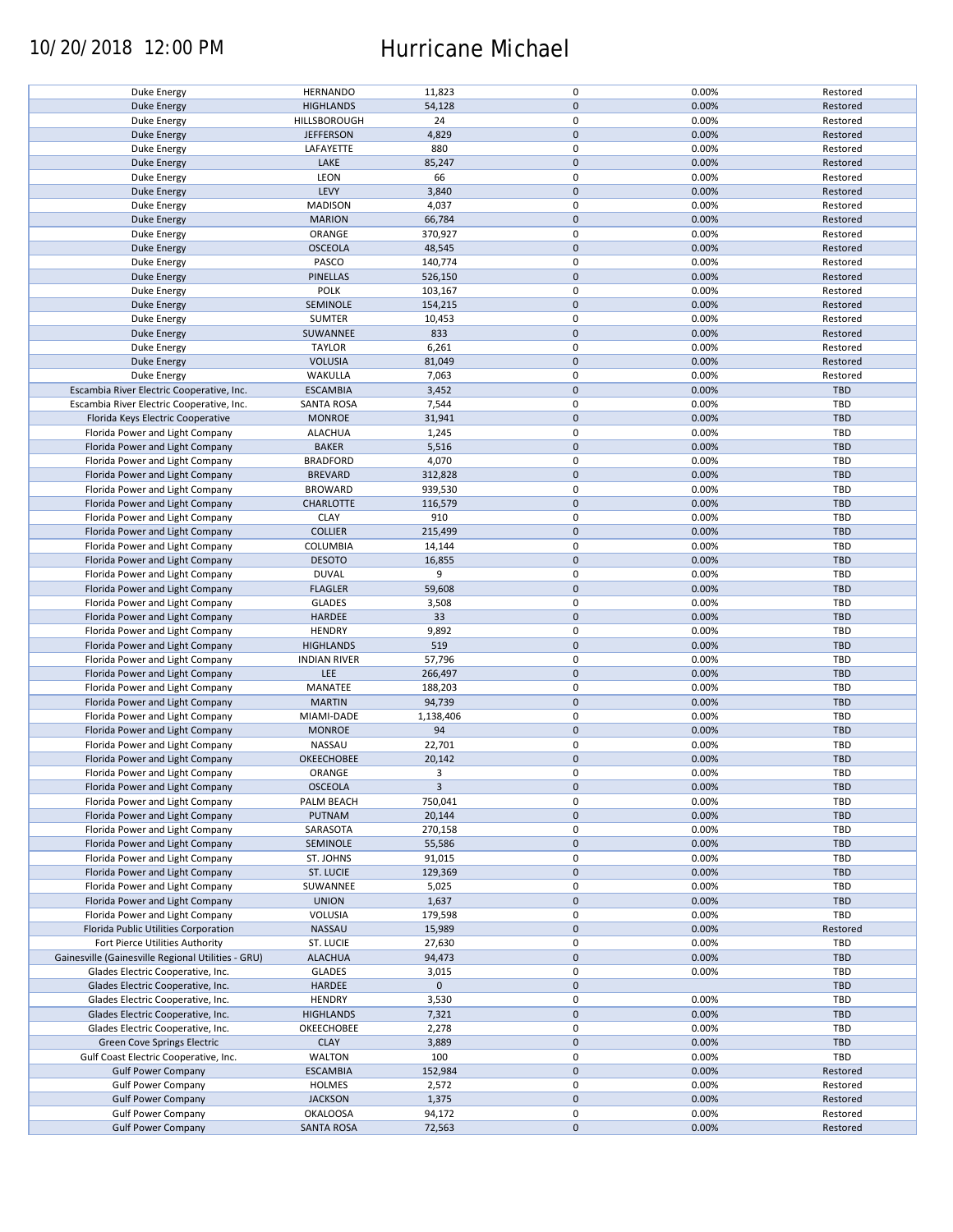### 10/20/2018 12:00 PM Hurricane Michael

| Duke Energy                                        | <b>HERNANDO</b>     | 11,823         | $\mathbf 0$ | 0.00% | Restored   |
|----------------------------------------------------|---------------------|----------------|-------------|-------|------------|
| Duke Energy                                        | <b>HIGHLANDS</b>    | 54,128         | $\mathbf 0$ | 0.00% | Restored   |
|                                                    | HILLSBOROUGH        | 24             | 0           |       |            |
| Duke Energy                                        |                     |                |             | 0.00% | Restored   |
| <b>Duke Energy</b>                                 | <b>JEFFERSON</b>    | 4,829          | $\mathbf 0$ | 0.00% | Restored   |
| Duke Energy                                        | LAFAYETTE           | 880            | 0           | 0.00% | Restored   |
| <b>Duke Energy</b>                                 | LAKE                | 85,247         | $\mathbf 0$ | 0.00% | Restored   |
|                                                    |                     |                |             |       |            |
| Duke Energy                                        | LEON                | 66             | 0           | 0.00% | Restored   |
| <b>Duke Energy</b>                                 | LEVY                | 3,840          | $\mathbf 0$ | 0.00% | Restored   |
|                                                    |                     | 4,037          | $\mathbf 0$ | 0.00% | Restored   |
| Duke Energy                                        | <b>MADISON</b>      |                |             |       |            |
| Duke Energy                                        | <b>MARION</b>       | 66,784         | $\mathbf 0$ | 0.00% | Restored   |
| Duke Energy                                        | ORANGE              | 370,927        | $\mathbf 0$ | 0.00% | Restored   |
|                                                    |                     |                | $\pmb{0}$   |       |            |
| <b>Duke Energy</b>                                 | <b>OSCEOLA</b>      | 48,545         |             | 0.00% | Restored   |
| Duke Energy                                        | PASCO               | 140,774        | $\mathbf 0$ | 0.00% | Restored   |
| <b>Duke Energy</b>                                 | PINELLAS            | 526,150        | $\mathbf 0$ | 0.00% | Restored   |
|                                                    |                     |                | $\mathbf 0$ |       |            |
| Duke Energy                                        | <b>POLK</b>         | 103,167        |             | 0.00% | Restored   |
| <b>Duke Energy</b>                                 | SEMINOLE            | 154,215        | $\mathbf 0$ | 0.00% | Restored   |
| Duke Energy                                        | <b>SUMTER</b>       | 10,453         | $\pmb{0}$   | 0.00% | Restored   |
|                                                    |                     |                | $\mathbf 0$ |       |            |
| <b>Duke Energy</b>                                 | SUWANNEE            | 833            |             | 0.00% | Restored   |
| Duke Energy                                        | <b>TAYLOR</b>       | 6,261          | $\pmb{0}$   | 0.00% | Restored   |
| <b>Duke Energy</b>                                 | <b>VOLUSIA</b>      | 81,049         | $\mathbf 0$ | 0.00% | Restored   |
|                                                    |                     |                |             |       |            |
| Duke Energy                                        | WAKULLA             | 7,063          | $\pmb{0}$   | 0.00% | Restored   |
| Escambia River Electric Cooperative, Inc.          | <b>ESCAMBIA</b>     | 3,452          | $\pmb{0}$   | 0.00% | TBD        |
| Escambia River Electric Cooperative, Inc.          | <b>SANTA ROSA</b>   | 7,544          | 0           | 0.00% | <b>TBD</b> |
|                                                    |                     |                |             |       |            |
| Florida Keys Electric Cooperative                  | <b>MONROE</b>       | 31,941         | $\mathbf 0$ | 0.00% | TBD        |
| Florida Power and Light Company                    | <b>ALACHUA</b>      | 1,245          | 0           | 0.00% | TBD        |
|                                                    |                     |                |             |       | <b>TBD</b> |
| Florida Power and Light Company                    | <b>BAKER</b>        | 5,516          | $\pmb{0}$   | 0.00% |            |
| Florida Power and Light Company                    | <b>BRADFORD</b>     | 4,070          | $\mathbf 0$ | 0.00% | TBD        |
| Florida Power and Light Company                    | <b>BREVARD</b>      | 312,828        | $\pmb{0}$   | 0.00% | <b>TBD</b> |
|                                                    |                     |                |             |       |            |
| Florida Power and Light Company                    | <b>BROWARD</b>      | 939,530        | $\pmb{0}$   | 0.00% | TBD        |
| Florida Power and Light Company                    | <b>CHARLOTTE</b>    | 116,579        | $\mathbf 0$ | 0.00% | <b>TBD</b> |
| Florida Power and Light Company                    | <b>CLAY</b>         | 910            | 0           | 0.00% | TBD        |
|                                                    |                     |                |             |       |            |
| Florida Power and Light Company                    | <b>COLLIER</b>      | 215,499        | $\mathbf 0$ | 0.00% | <b>TBD</b> |
| Florida Power and Light Company                    | COLUMBIA            | 14,144         | $\pmb{0}$   | 0.00% | TBD        |
| Florida Power and Light Company                    | <b>DESOTO</b>       | 16,855         | $\pmb{0}$   | 0.00% | <b>TBD</b> |
|                                                    |                     |                |             |       |            |
| Florida Power and Light Company                    | <b>DUVAL</b>        | 9              | $\pmb{0}$   | 0.00% | TBD        |
| Florida Power and Light Company                    | <b>FLAGLER</b>      | 59,608         | $\pmb{0}$   | 0.00% | <b>TBD</b> |
|                                                    |                     |                |             |       |            |
| Florida Power and Light Company                    | <b>GLADES</b>       | 3,508          | $\pmb{0}$   | 0.00% | TBD        |
| Florida Power and Light Company                    | HARDEE              | 33             | $\mathbf 0$ | 0.00% | <b>TBD</b> |
| Florida Power and Light Company                    | <b>HENDRY</b>       | 9,892          | $\pmb{0}$   | 0.00% | TBD        |
|                                                    |                     |                |             |       |            |
| Florida Power and Light Company                    | <b>HIGHLANDS</b>    | 519            | $\pmb{0}$   | 0.00% | <b>TBD</b> |
| Florida Power and Light Company                    | <b>INDIAN RIVER</b> | 57,796         | $\pmb{0}$   | 0.00% | TBD        |
|                                                    | LEE                 | 266,497        | $\mathbf 0$ | 0.00% | <b>TBD</b> |
| Florida Power and Light Company                    |                     |                |             |       |            |
| Florida Power and Light Company                    | MANATEE             | 188,203        | 0           | 0.00% | <b>TBD</b> |
| Florida Power and Light Company                    | <b>MARTIN</b>       | 94,739         | $\mathbf 0$ | 0.00% | <b>TBD</b> |
|                                                    |                     |                |             |       |            |
| Florida Power and Light Company                    | MIAMI-DADE          | 1,138,406      | $\mathbf 0$ | 0.00% | <b>TBD</b> |
| Florida Power and Light Company                    | <b>MONROE</b>       | 94             | $\mathbf 0$ | 0.00% | <b>TBD</b> |
| Florida Power and Light Company                    | NASSAU              | 22,701         | 0           | 0.00% | <b>TBD</b> |
|                                                    |                     |                |             |       |            |
| Florida Power and Light Company                    | OKEECHOBEE          | 20,142         | $\mathbf 0$ | 0.00% | <b>TBD</b> |
| Florida Power and Light Company                    | ORANGE              | 3              | $\mathbf 0$ | 0.00% | TBD        |
| Florida Power and Light Company                    | <b>OSCEOLA</b>      | $\overline{3}$ | $\pmb{0}$   | 0.00% | <b>TBD</b> |
|                                                    |                     |                |             |       |            |
| Florida Power and Light Company                    | PALM BEACH          | 750,041        | 0           | 0.00% | TBD        |
| Florida Power and Light Company                    | PUTNAM              | 20,144         | $\pmb{0}$   | 0.00% | TBD        |
|                                                    |                     |                | 0           |       |            |
| Florida Power and Light Company                    | SARASOTA            | 270,158        |             | 0.00% | TBD        |
| Florida Power and Light Company                    | SEMINOLE            | 55,586         | $\mathbf 0$ | 0.00% | <b>TBD</b> |
| Florida Power and Light Company                    | ST. JOHNS           | 91,015         | 0           | 0.00% | TBD        |
|                                                    |                     |                |             |       |            |
| Florida Power and Light Company                    | ST. LUCIE           | 129,369        | $\mathbf 0$ | 0.00% | <b>TBD</b> |
| Florida Power and Light Company                    | SUWANNEE            | 5,025          | 0           | 0.00% | TBD        |
| Florida Power and Light Company                    | <b>UNION</b>        | 1,637          | $\pmb{0}$   | 0.00% | <b>TBD</b> |
|                                                    |                     |                |             |       |            |
| Florida Power and Light Company                    | VOLUSIA             | 179,598        | 0           | 0.00% | TBD        |
| Florida Public Utilities Corporation               | NASSAU              | 15,989         | $\pmb{0}$   | 0.00% | Restored   |
|                                                    |                     |                |             |       | TBD        |
| Fort Pierce Utilities Authority                    | ST. LUCIE           | 27,630         | 0           | 0.00% |            |
| Gainesville (Gainesville Regional Utilities - GRU) | <b>ALACHUA</b>      | 94,473         | $\pmb{0}$   | 0.00% | <b>TBD</b> |
| Glades Electric Cooperative, Inc.                  | <b>GLADES</b>       | 3,015          | $\pmb{0}$   | 0.00% | TBD        |
|                                                    |                     |                |             |       |            |
| Glades Electric Cooperative, Inc.                  | <b>HARDEE</b>       | $\mathbf 0$    | $\pmb{0}$   |       | TBD        |
| Glades Electric Cooperative, Inc.                  | <b>HENDRY</b>       | 3,530          | $\pmb{0}$   | 0.00% | TBD        |
| Glades Electric Cooperative, Inc.                  | <b>HIGHLANDS</b>    | 7,321          | $\mathbf 0$ | 0.00% | <b>TBD</b> |
|                                                    |                     |                |             |       |            |
| Glades Electric Cooperative, Inc.                  | OKEECHOBEE          | 2,278          | 0           | 0.00% | TBD        |
| Green Cove Springs Electric                        | <b>CLAY</b>         | 3,889          | $\pmb{0}$   | 0.00% | <b>TBD</b> |
| Gulf Coast Electric Cooperative, Inc.              | WALTON              | 100            | 0           | 0.00% | TBD        |
|                                                    |                     |                |             |       |            |
| <b>Gulf Power Company</b>                          | <b>ESCAMBIA</b>     | 152,984        | $\pmb{0}$   | 0.00% | Restored   |
| <b>Gulf Power Company</b>                          | HOLMES              | 2,572          | 0           | 0.00% | Restored   |
|                                                    |                     |                |             |       |            |
| <b>Gulf Power Company</b>                          | <b>JACKSON</b>      | 1,375          | $\pmb{0}$   | 0.00% | Restored   |
| <b>Gulf Power Company</b>                          | <b>OKALOOSA</b>     | 94,172         | 0           | 0.00% | Restored   |
| <b>Gulf Power Company</b>                          | <b>SANTA ROSA</b>   | 72,563         | $\pmb{0}$   | 0.00% | Restored   |
|                                                    |                     |                |             |       |            |